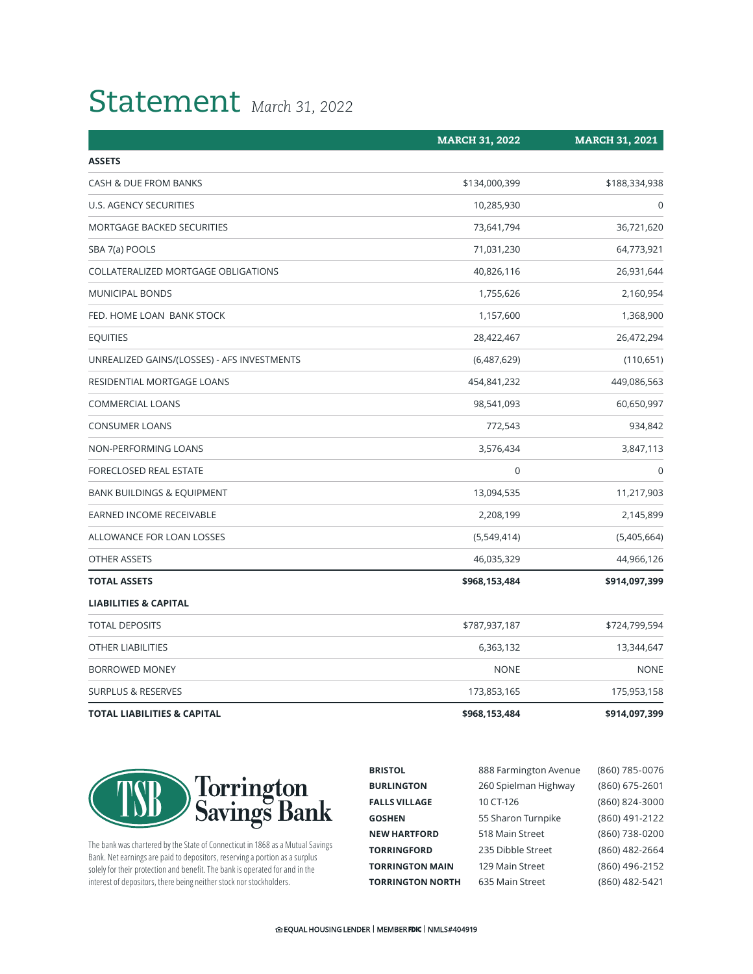## Statement *March 31, 2022*

|                                             | <b>MARCH 31, 2022</b> | <b>MARCH 31, 2021</b> |
|---------------------------------------------|-----------------------|-----------------------|
| <b>ASSETS</b>                               |                       |                       |
| CASH & DUE FROM BANKS                       | \$134,000,399         | \$188,334,938         |
| U.S. AGENCY SECURITIES                      | 10,285,930            | $\Omega$              |
| <b>MORTGAGE BACKED SECURITIES</b>           | 73,641,794            | 36,721,620            |
| SBA 7(a) POOLS                              | 71,031,230            | 64,773,921            |
| COLLATERALIZED MORTGAGE OBLIGATIONS         | 40,826,116            | 26,931,644            |
| <b>MUNICIPAL BONDS</b>                      | 1,755,626             | 2,160,954             |
| FED. HOME LOAN BANK STOCK                   | 1,157,600             | 1,368,900             |
| <b>EQUITIES</b>                             | 28,422,467            | 26,472,294            |
| UNREALIZED GAINS/(LOSSES) - AFS INVESTMENTS | (6,487,629)           | (110,651)             |
| RESIDENTIAL MORTGAGE LOANS                  | 454,841,232           | 449,086,563           |
| <b>COMMERCIAL LOANS</b>                     | 98,541,093            | 60,650,997            |
| <b>CONSUMER LOANS</b>                       | 772,543               | 934,842               |
| NON-PERFORMING LOANS                        | 3,576,434             | 3,847,113             |
| FORECLOSED REAL ESTATE                      | $\mathbf 0$           | $\Omega$              |
| <b>BANK BUILDINGS &amp; EQUIPMENT</b>       | 13,094,535            | 11,217,903            |
| <b>EARNED INCOME RECEIVABLE</b>             | 2,208,199             | 2,145,899             |
| ALLOWANCE FOR LOAN LOSSES                   | (5,549,414)           | (5,405,664)           |
| <b>OTHER ASSETS</b>                         | 46,035,329            | 44,966,126            |
| <b>TOTAL ASSETS</b>                         | \$968,153,484         | \$914,097,399         |
| <b>LIABILITIES &amp; CAPITAL</b>            |                       |                       |
| <b>TOTAL DEPOSITS</b>                       | \$787,937,187         | \$724,799,594         |
| <b>OTHER LIABILITIES</b>                    | 6,363,132             | 13,344,647            |
| BORROWED MONEY                              | <b>NONE</b>           | <b>NONE</b>           |
| <b>SURPLUS &amp; RESERVES</b>               | 173,853,165           | 175,953,158           |
| <b>TOTAL LIABILITIES &amp; CAPITAL</b>      | \$968,153,484         | \$914,097,399         |



The bank was chartered by the State of Connecticut in 1868 as a Mutual Savings Bank. Net earnings are paid to depositors, reserving a portion as a surplus solely for their protection and benefit. The bank is operated for and in the interest of depositors, there being neither stock nor stockholders.

| <b>BRISTOL</b>          | 888 Farmington Avenue | (860) 785-0076 |
|-------------------------|-----------------------|----------------|
| <b>BURLINGTON</b>       | 260 Spielman Highway  | (860) 675-2601 |
| <b>FALLS VILLAGE</b>    | 10 CT-126             | (860) 824-3000 |
| GOSHEN                  | 55 Sharon Turnpike    | (860) 491-2122 |
| <b>NEW HARTFORD</b>     | 518 Main Street       | (860) 738-0200 |
| <b>TORRINGFORD</b>      | 235 Dibble Street     | (860) 482-2664 |
| <b>TORRINGTON MAIN</b>  | 129 Main Street       | (860) 496-2152 |
| <b>TORRINGTON NORTH</b> | 635 Main Street       | (860) 482-5421 |